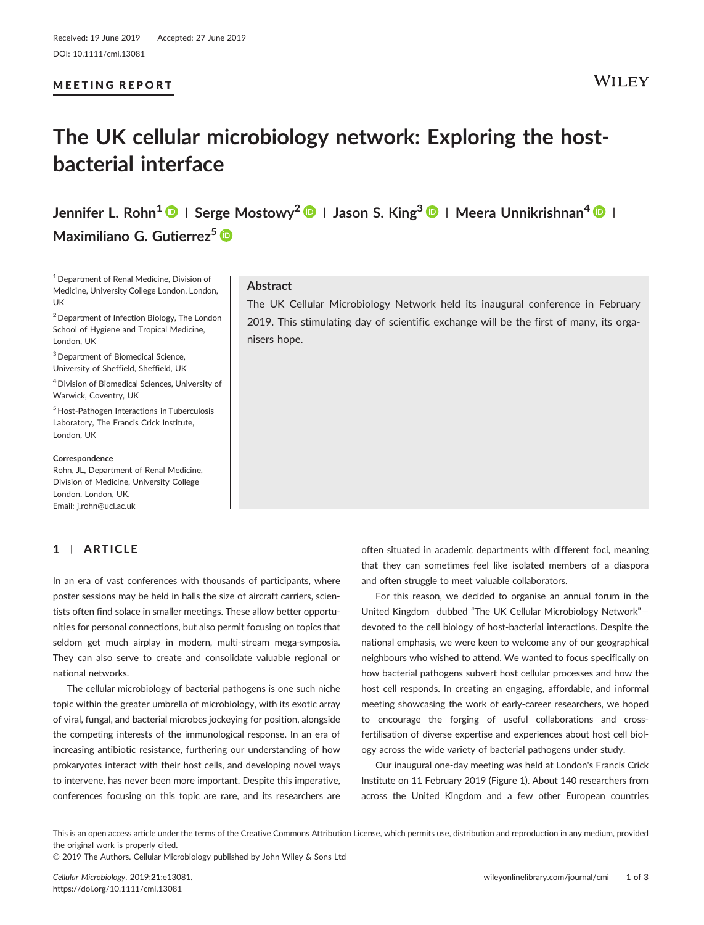[DOI: 10.1111/cmi.13081](https://doi.org/10.1111/cmi.13081)

## MEETING REPORT

# The UK cellular microbiology network: Exploring the host‐ bacterial interface

Jennifer L. Rohn<sup>1</sup>  $\bigcirc$  | Serge Mostowy<sup>2</sup>  $\bigcirc$  | Jason S. King<sup>3</sup>  $\bigcirc$  | Meera Unnikrishnan<sup>4</sup>  $\bigcirc$  | Maximiliano G. Gutierrez<sup>5</sup>

<sup>1</sup> Department of Renal Medicine, Division of Medicine, University College London, London, UK

2Department of Infection Biology, The London School of Hygiene and Tropical Medicine, London, UK

<sup>3</sup> Department of Biomedical Science, University of Sheffield, Sheffield, UK

4Division of Biomedical Sciences, University of Warwick, Coventry, UK

5Host‐Pathogen Interactions in Tuberculosis Laboratory, The Francis Crick Institute, London, UK

Correspondence Rohn, JL, Department of Renal Medicine,

Division of Medicine, University College London. London, UK. Email: j.rohn@ucl.ac.uk

## 1 | ARTICLE

In an era of vast conferences with thousands of participants, where poster sessions may be held in halls the size of aircraft carriers, scientists often find solace in smaller meetings. These allow better opportunities for personal connections, but also permit focusing on topics that seldom get much airplay in modern, multi-stream mega-symposia. They can also serve to create and consolidate valuable regional or national networks.

The cellular microbiology of bacterial pathogens is one such niche topic within the greater umbrella of microbiology, with its exotic array of viral, fungal, and bacterial microbes jockeying for position, alongside the competing interests of the immunological response. In an era of increasing antibiotic resistance, furthering our understanding of how prokaryotes interact with their host cells, and developing novel ways to intervene, has never been more important. Despite this imperative, conferences focusing on this topic are rare, and its researchers are

## Abstract

The UK Cellular Microbiology Network held its inaugural conference in February 2019. This stimulating day of scientific exchange will be the first of many, its organisers hope.

> often situated in academic departments with different foci, meaning that they can sometimes feel like isolated members of a diaspora and often struggle to meet valuable collaborators.

> For this reason, we decided to organise an annual forum in the United Kingdom—dubbed "The UK Cellular Microbiology Network" devoted to the cell biology of host‐bacterial interactions. Despite the national emphasis, we were keen to welcome any of our geographical neighbours who wished to attend. We wanted to focus specifically on how bacterial pathogens subvert host cellular processes and how the host cell responds. In creating an engaging, affordable, and informal meeting showcasing the work of early‐career researchers, we hoped to encourage the forging of useful collaborations and cross‐ fertilisation of diverse expertise and experiences about host cell biology across the wide variety of bacterial pathogens under study.

> Our inaugural one‐day meeting was held at London's Francis Crick Institute on 11 February 2019 (Figure 1). About 140 researchers from across the United Kingdom and a few other European countries

© 2019 The Authors. Cellular Microbiology published by John Wiley & Sons Ltd

<sup>-------------------------------------------------------------------------------------------------------------------------------</sup> - This is an open access article under the terms of the [Creative Commons Attribution](http://creativecommons.org/licenses/by/4.0/) License, which permits use, distribution and reproduction in any medium, provided the original work is properly cited.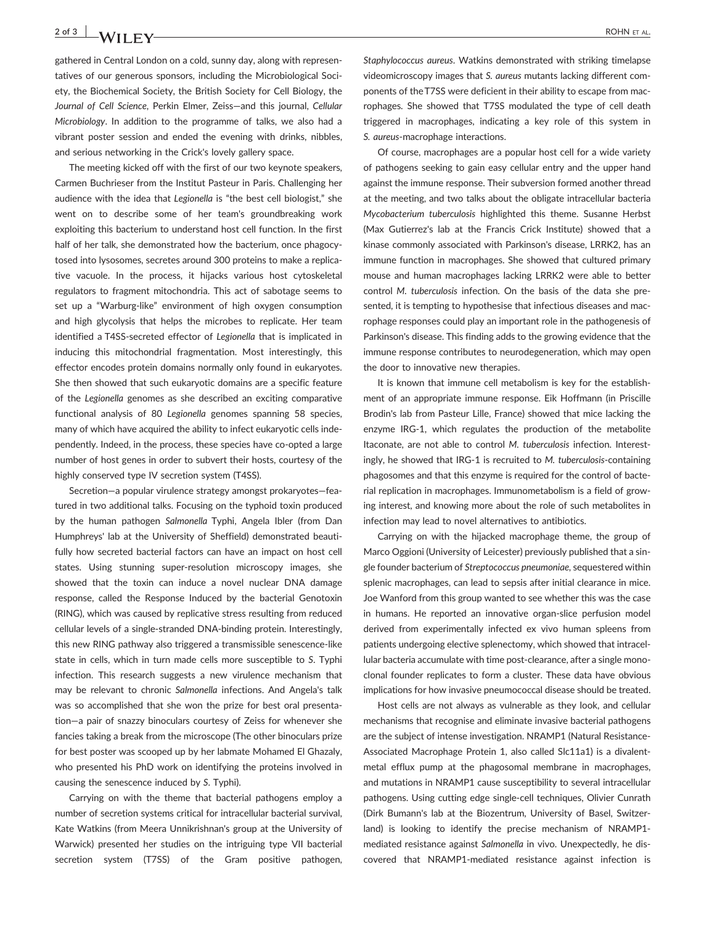# $2$  of 3  $\overline{a}$  ROHN ET AL.

gathered in Central London on a cold, sunny day, along with representatives of our generous sponsors, including the Microbiological Society, the Biochemical Society, the British Society for Cell Biology, the Journal of Cell Science, Perkin Elmer, Zeiss—and this journal, Cellular Microbiology. In addition to the programme of talks, we also had a vibrant poster session and ended the evening with drinks, nibbles, and serious networking in the Crick's lovely gallery space.

The meeting kicked off with the first of our two keynote speakers, Carmen Buchrieser from the Institut Pasteur in Paris. Challenging her audience with the idea that Legionella is "the best cell biologist," she went on to describe some of her team's groundbreaking work exploiting this bacterium to understand host cell function. In the first half of her talk, she demonstrated how the bacterium, once phagocytosed into lysosomes, secretes around 300 proteins to make a replicative vacuole. In the process, it hijacks various host cytoskeletal regulators to fragment mitochondria. This act of sabotage seems to set up a "Warburg‐like" environment of high oxygen consumption and high glycolysis that helps the microbes to replicate. Her team identified a T4SS‐secreted effector of Legionella that is implicated in inducing this mitochondrial fragmentation. Most interestingly, this effector encodes protein domains normally only found in eukaryotes. She then showed that such eukaryotic domains are a specific feature of the Legionella genomes as she described an exciting comparative functional analysis of 80 Legionella genomes spanning 58 species, many of which have acquired the ability to infect eukaryotic cells independently. Indeed, in the process, these species have co‐opted a large number of host genes in order to subvert their hosts, courtesy of the highly conserved type IV secretion system (T4SS).

Secretion—a popular virulence strategy amongst prokaryotes—featured in two additional talks. Focusing on the typhoid toxin produced by the human pathogen Salmonella Typhi, Angela Ibler (from Dan Humphreys' lab at the University of Sheffield) demonstrated beautifully how secreted bacterial factors can have an impact on host cell states. Using stunning super‐resolution microscopy images, she showed that the toxin can induce a novel nuclear DNA damage response, called the Response Induced by the bacterial Genotoxin (RING), which was caused by replicative stress resulting from reduced cellular levels of a single‐stranded DNA‐binding protein. Interestingly, this new RING pathway also triggered a transmissible senescence‐like state in cells, which in turn made cells more susceptible to S. Typhi infection. This research suggests a new virulence mechanism that may be relevant to chronic Salmonella infections. And Angela's talk was so accomplished that she won the prize for best oral presentation—a pair of snazzy binoculars courtesy of Zeiss for whenever she fancies taking a break from the microscope (The other binoculars prize for best poster was scooped up by her labmate Mohamed El Ghazaly, who presented his PhD work on identifying the proteins involved in causing the senescence induced by S. Typhi).

Carrying on with the theme that bacterial pathogens employ a number of secretion systems critical for intracellular bacterial survival, Kate Watkins (from Meera Unnikrishnan's group at the University of Warwick) presented her studies on the intriguing type VII bacterial secretion system (T7SS) of the Gram positive pathogen,

Staphylococcus aureus. Watkins demonstrated with striking timelapse videomicroscopy images that S. aureus mutants lacking different components of the T7SS were deficient in their ability to escape from macrophages. She showed that T7SS modulated the type of cell death triggered in macrophages, indicating a key role of this system in S. aureus‐macrophage interactions.

Of course, macrophages are a popular host cell for a wide variety of pathogens seeking to gain easy cellular entry and the upper hand against the immune response. Their subversion formed another thread at the meeting, and two talks about the obligate intracellular bacteria Mycobacterium tuberculosis highlighted this theme. Susanne Herbst (Max Gutierrez's lab at the Francis Crick Institute) showed that a kinase commonly associated with Parkinson's disease, LRRK2, has an immune function in macrophages. She showed that cultured primary mouse and human macrophages lacking LRRK2 were able to better control M. tuberculosis infection. On the basis of the data she presented, it is tempting to hypothesise that infectious diseases and macrophage responses could play an important role in the pathogenesis of Parkinson's disease. This finding adds to the growing evidence that the immune response contributes to neurodegeneration, which may open the door to innovative new therapies.

It is known that immune cell metabolism is key for the establishment of an appropriate immune response. Eik Hoffmann (in Priscille Brodin's lab from Pasteur Lille, France) showed that mice lacking the enzyme IRG‐1, which regulates the production of the metabolite Itaconate, are not able to control M. tuberculosis infection. Interestingly, he showed that IRG‐1 is recruited to M. tuberculosis‐containing phagosomes and that this enzyme is required for the control of bacterial replication in macrophages. Immunometabolism is a field of growing interest, and knowing more about the role of such metabolites in infection may lead to novel alternatives to antibiotics.

Carrying on with the hijacked macrophage theme, the group of Marco Oggioni (University of Leicester) previously published that a single founder bacterium of Streptococcus pneumoniae, sequestered within splenic macrophages, can lead to sepsis after initial clearance in mice. Joe Wanford from this group wanted to see whether this was the case in humans. He reported an innovative organ‐slice perfusion model derived from experimentally infected ex vivo human spleens from patients undergoing elective splenectomy, which showed that intracellular bacteria accumulate with time post‐clearance, after a single monoclonal founder replicates to form a cluster. These data have obvious implications for how invasive pneumococcal disease should be treated.

Host cells are not always as vulnerable as they look, and cellular mechanisms that recognise and eliminate invasive bacterial pathogens are the subject of intense investigation. NRAMP1 (Natural Resistance‐ Associated Macrophage Protein 1, also called Slc11a1) is a divalent‐ metal efflux pump at the phagosomal membrane in macrophages, and mutations in NRAMP1 cause susceptibility to several intracellular pathogens. Using cutting edge single‐cell techniques, Olivier Cunrath (Dirk Bumann's lab at the Biozentrum, University of Basel, Switzerland) is looking to identify the precise mechanism of NRAMP1‐ mediated resistance against Salmonella in vivo. Unexpectedly, he discovered that NRAMP1‐mediated resistance against infection is